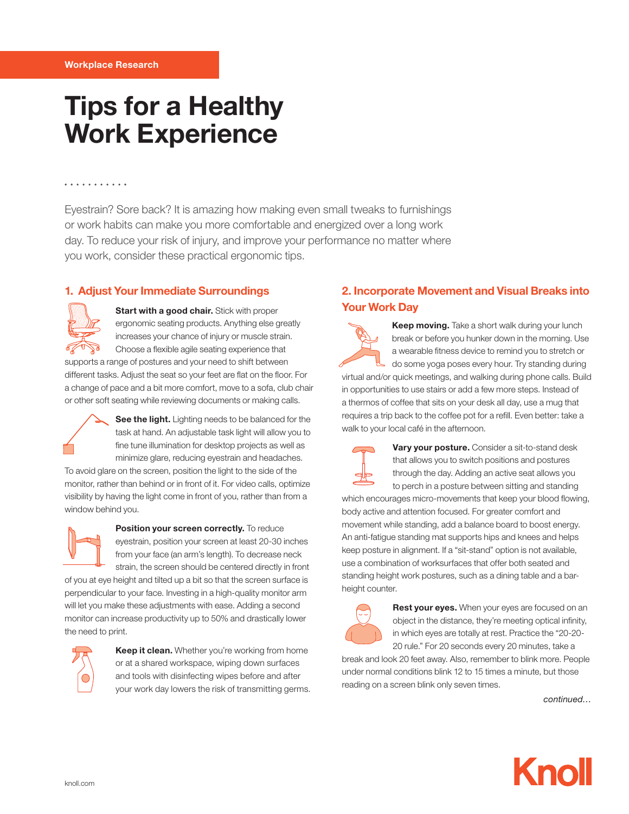. . . . . . . . . . .

# Tips for a Healthy Work Experience

Eyestrain? Sore back? It is amazing how making even small tweaks to furnishings or work habits can make you more comfortable and energized over a long work day. To reduce your risk of injury, and improve your performance no matter where you work, consider these practical ergonomic tips.

## 1. Adjust Your Immediate Surroundings

Start with a good chair. Stick with proper ergonomic seating products. Anything else greatly increases your chance of injury or muscle strain. Choose a flexible agile seating experience that supports a range of postures and your need to shift between different tasks. Adjust the seat so your feet are flat on the floor. For a change of pace and a bit more comfort, move to a sofa, club chair or other soft seating while reviewing documents or making calls.

> See the light. Lighting needs to be balanced for the task at hand. An adjustable task light will allow you to fine tune illumination for desktop projects as well as minimize glare, reducing eyestrain and headaches.

To avoid glare on the screen, position the light to the side of the monitor, rather than behind or in front of it. For video calls, optimize visibility by having the light come in front of you, rather than from a window behind you.



Position your screen correctly. To reduce eyestrain, position your screen at least 20-30 inches from your face (an arm's length). To decrease neck strain, the screen should be centered directly in front

of you at eye height and tilted up a bit so that the screen surface is perpendicular to your face. Investing in a high-quality monitor arm will let you make these adjustments with ease. Adding a second monitor can increase productivity up to 50% and drastically lower the need to print.



Keep it clean. Whether you're working from home or at a shared workspace, wiping down surfaces and tools with disinfecting wipes before and after your work day lowers the risk of transmitting germs.

## 2. Incorporate Movement and Visual Breaks into Your Work Day

Keep moving. Take a short walk during your lunch break or before you hunker down in the morning. Use a wearable fitness device to remind you to stretch or do some yoga poses every hour. Try standing during virtual and/or quick meetings, and walking during phone calls. Build in opportunities to use stairs or add a few more steps. Instead of a thermos of coffee that sits on your desk all day, use a mug that requires a trip back to the coffee pot for a refill. Even better: take a walk to your local café in the afternoon.



Vary your posture. Consider a sit-to-stand desk that allows you to switch positions and postures through the day. Adding an active seat allows you to perch in a posture between sitting and standing

which encourages micro-movements that keep your blood flowing, body active and attention focused. For greater comfort and movement while standing, add a balance board to boost energy. An anti-fatigue standing mat supports hips and knees and helps keep posture in alignment. If a "sit-stand" option is not available, use a combination of worksurfaces that offer both seated and standing height work postures, such as a dining table and a barheight counter.



**Rest your eyes.** When your eyes are focused on an object in the distance, they're meeting optical infinity, in which eyes are totally at rest. Practice the "20-20- 20 rule." For 20 seconds every 20 minutes, take a

break and look 20 feet away. Also, remember to blink more. People under normal conditions blink 12 to 15 times a minute, but those reading on a screen blink only seven times.

*continued…*